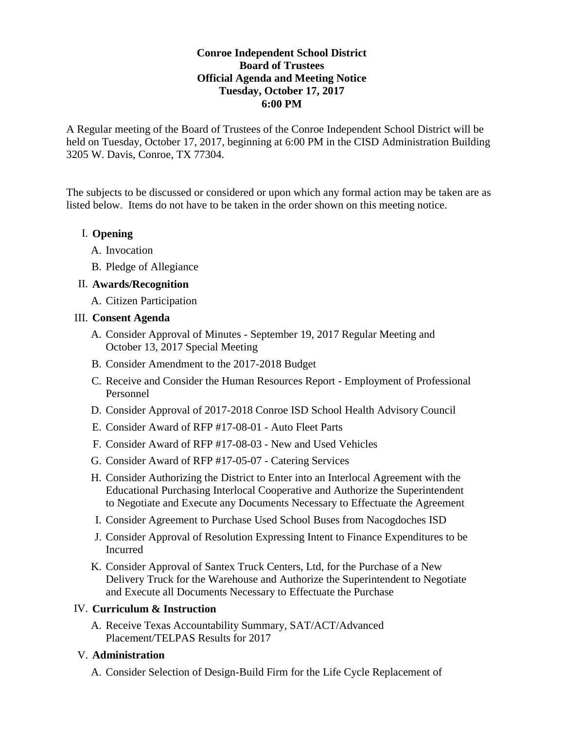## **Conroe Independent School District Board of Trustees Official Agenda and Meeting Notice Tuesday, October 17, 2017 6:00 PM**

A Regular meeting of the Board of Trustees of the Conroe Independent School District will be held on Tuesday, October 17, 2017, beginning at 6:00 PM in the CISD Administration Building 3205 W. Davis, Conroe, TX 77304.

The subjects to be discussed or considered or upon which any formal action may be taken are as listed below. Items do not have to be taken in the order shown on this meeting notice.

# I. **Opening**

- A. Invocation
- B. Pledge of Allegiance

## II. **Awards/Recognition**

A. Citizen Participation

## III. **Consent Agenda**

- A. Consider Approval of Minutes September 19, 2017 Regular Meeting and October 13, 2017 Special Meeting
- B. Consider Amendment to the 2017-2018 Budget
- C. Receive and Consider the Human Resources Report Employment of Professional Personnel
- D. Consider Approval of 2017-2018 Conroe ISD School Health Advisory Council
- E. Consider Award of RFP #17-08-01 Auto Fleet Parts
- F. Consider Award of RFP #17-08-03 New and Used Vehicles
- G. Consider Award of RFP #17-05-07 Catering Services
- H. Consider Authorizing the District to Enter into an Interlocal Agreement with the Educational Purchasing Interlocal Cooperative and Authorize the Superintendent to Negotiate and Execute any Documents Necessary to Effectuate the Agreement
- I. Consider Agreement to Purchase Used School Buses from Nacogdoches ISD
- J. Consider Approval of Resolution Expressing Intent to Finance Expenditures to be Incurred
- K. Consider Approval of Santex Truck Centers, Ltd, for the Purchase of a New Delivery Truck for the Warehouse and Authorize the Superintendent to Negotiate and Execute all Documents Necessary to Effectuate the Purchase

#### IV. **Curriculum & Instruction**

A. Receive Texas Accountability Summary, SAT/ACT/Advanced Placement/TELPAS Results for 2017

#### V. **Administration**

A. Consider Selection of Design-Build Firm for the Life Cycle Replacement of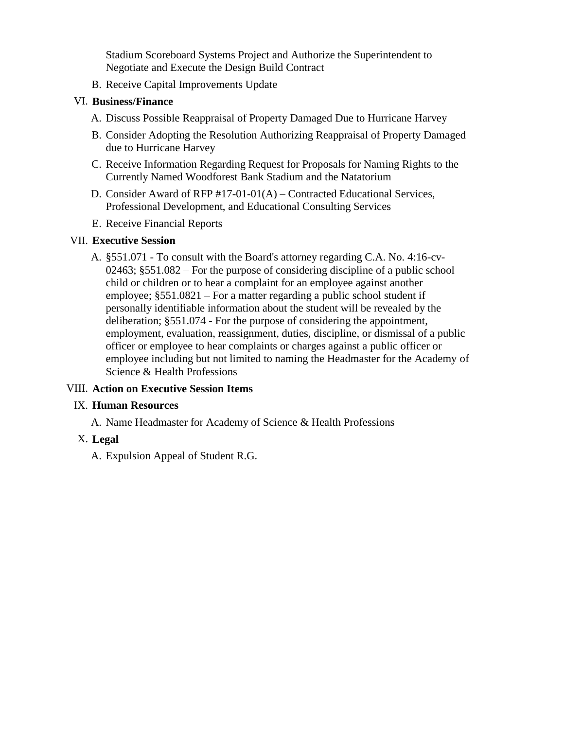Stadium Scoreboard Systems Project and Authorize the Superintendent to Negotiate and Execute the Design Build Contract

B. Receive Capital Improvements Update

## VI. **Business/Finance**

- A. Discuss Possible Reappraisal of Property Damaged Due to Hurricane Harvey
- B. Consider Adopting the Resolution Authorizing Reappraisal of Property Damaged due to Hurricane Harvey
- C. Receive Information Regarding Request for Proposals for Naming Rights to the Currently Named Woodforest Bank Stadium and the Natatorium
- D. Consider Award of RFP #17-01-01(A) Contracted Educational Services, Professional Development, and Educational Consulting Services
- E. Receive Financial Reports

## VII. **Executive Session**

A. §551.071 - To consult with the Board's attorney regarding C.A. No. 4:16-cv-02463; §551.082 – For the purpose of considering discipline of a public school child or children or to hear a complaint for an employee against another employee; §551.0821 – For a matter regarding a public school student if personally identifiable information about the student will be revealed by the deliberation; §551.074 - For the purpose of considering the appointment, employment, evaluation, reassignment, duties, discipline, or dismissal of a public officer or employee to hear complaints or charges against a public officer or employee including but not limited to naming the Headmaster for the Academy of Science & Health Professions

# VIII. **Action on Executive Session Items**

#### IX. **Human Resources**

A. Name Headmaster for Academy of Science & Health Professions

# X. **Legal**

A. Expulsion Appeal of Student R.G.